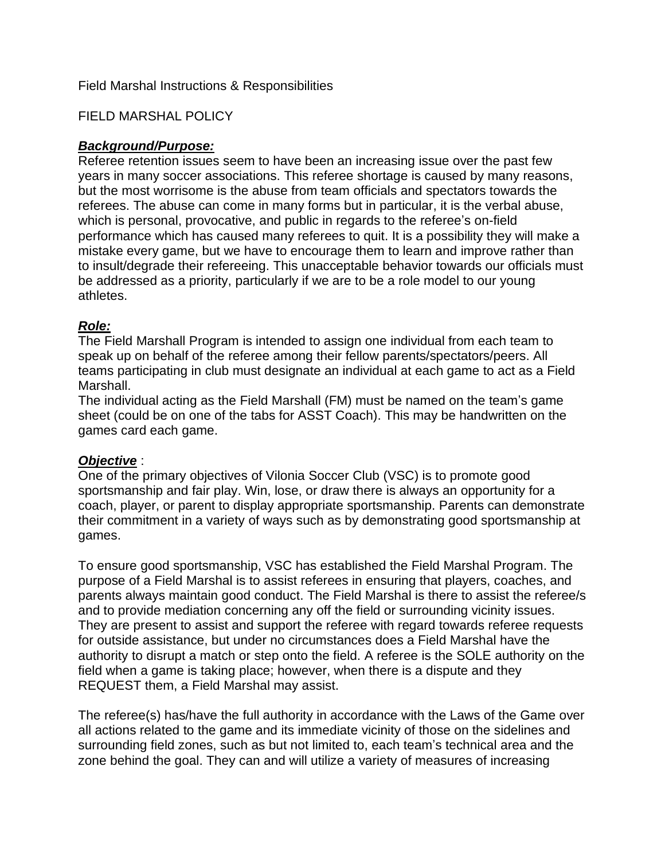### Field Marshal Instructions & Responsibilities

### FIELD MARSHAL POLICY

### *Background/Purpose:*

Referee retention issues seem to have been an increasing issue over the past few years in many soccer associations. This referee shortage is caused by many reasons, but the most worrisome is the abuse from team officials and spectators towards the referees. The abuse can come in many forms but in particular, it is the verbal abuse, which is personal, provocative, and public in regards to the referee's on-field performance which has caused many referees to quit. It is a possibility they will make a mistake every game, but we have to encourage them to learn and improve rather than to insult/degrade their refereeing. This unacceptable behavior towards our officials must be addressed as a priority, particularly if we are to be a role model to our young athletes.

## *Role:*

The Field Marshall Program is intended to assign one individual from each team to speak up on behalf of the referee among their fellow parents/spectators/peers. All teams participating in club must designate an individual at each game to act as a Field Marshall.

The individual acting as the Field Marshall (FM) must be named on the team's game sheet (could be on one of the tabs for ASST Coach). This may be handwritten on the games card each game.

### *Objective* :

One of the primary objectives of Vilonia Soccer Club (VSC) is to promote good sportsmanship and fair play. Win, lose, or draw there is always an opportunity for a coach, player, or parent to display appropriate sportsmanship. Parents can demonstrate their commitment in a variety of ways such as by demonstrating good sportsmanship at games.

To ensure good sportsmanship, VSC has established the Field Marshal Program. The purpose of a Field Marshal is to assist referees in ensuring that players, coaches, and parents always maintain good conduct. The Field Marshal is there to assist the referee/s and to provide mediation concerning any off the field or surrounding vicinity issues. They are present to assist and support the referee with regard towards referee requests for outside assistance, but under no circumstances does a Field Marshal have the authority to disrupt a match or step onto the field. A referee is the SOLE authority on the field when a game is taking place; however, when there is a dispute and they REQUEST them, a Field Marshal may assist.

The referee(s) has/have the full authority in accordance with the Laws of the Game over all actions related to the game and its immediate vicinity of those on the sidelines and surrounding field zones, such as but not limited to, each team's technical area and the zone behind the goal. They can and will utilize a variety of measures of increasing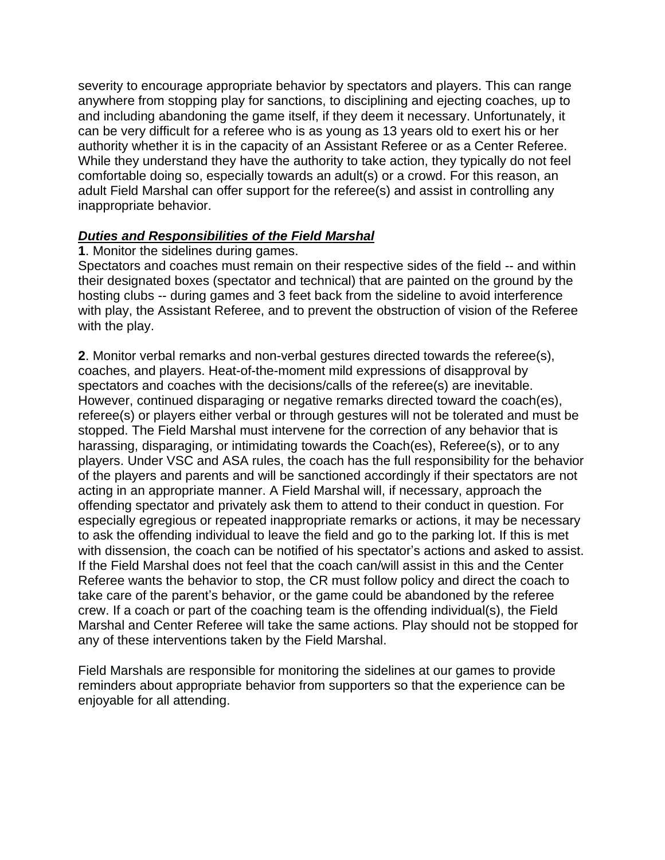severity to encourage appropriate behavior by spectators and players. This can range anywhere from stopping play for sanctions, to disciplining and ejecting coaches, up to and including abandoning the game itself, if they deem it necessary. Unfortunately, it can be very difficult for a referee who is as young as 13 years old to exert his or her authority whether it is in the capacity of an Assistant Referee or as a Center Referee. While they understand they have the authority to take action, they typically do not feel comfortable doing so, especially towards an adult(s) or a crowd. For this reason, an adult Field Marshal can offer support for the referee(s) and assist in controlling any inappropriate behavior.

## *Duties and Responsibilities of the Field Marshal*

**1**. Monitor the sidelines during games.

Spectators and coaches must remain on their respective sides of the field -- and within their designated boxes (spectator and technical) that are painted on the ground by the hosting clubs -- during games and 3 feet back from the sideline to avoid interference with play, the Assistant Referee, and to prevent the obstruction of vision of the Referee with the play.

**2**. Monitor verbal remarks and non-verbal gestures directed towards the referee(s), coaches, and players. Heat-of-the-moment mild expressions of disapproval by spectators and coaches with the decisions/calls of the referee(s) are inevitable. However, continued disparaging or negative remarks directed toward the coach(es), referee(s) or players either verbal or through gestures will not be tolerated and must be stopped. The Field Marshal must intervene for the correction of any behavior that is harassing, disparaging, or intimidating towards the Coach(es), Referee(s), or to any players. Under VSC and ASA rules, the coach has the full responsibility for the behavior of the players and parents and will be sanctioned accordingly if their spectators are not acting in an appropriate manner. A Field Marshal will, if necessary, approach the offending spectator and privately ask them to attend to their conduct in question. For especially egregious or repeated inappropriate remarks or actions, it may be necessary to ask the offending individual to leave the field and go to the parking lot. If this is met with dissension, the coach can be notified of his spectator's actions and asked to assist. If the Field Marshal does not feel that the coach can/will assist in this and the Center Referee wants the behavior to stop, the CR must follow policy and direct the coach to take care of the parent's behavior, or the game could be abandoned by the referee crew. If a coach or part of the coaching team is the offending individual(s), the Field Marshal and Center Referee will take the same actions. Play should not be stopped for any of these interventions taken by the Field Marshal.

Field Marshals are responsible for monitoring the sidelines at our games to provide reminders about appropriate behavior from supporters so that the experience can be enjoyable for all attending.